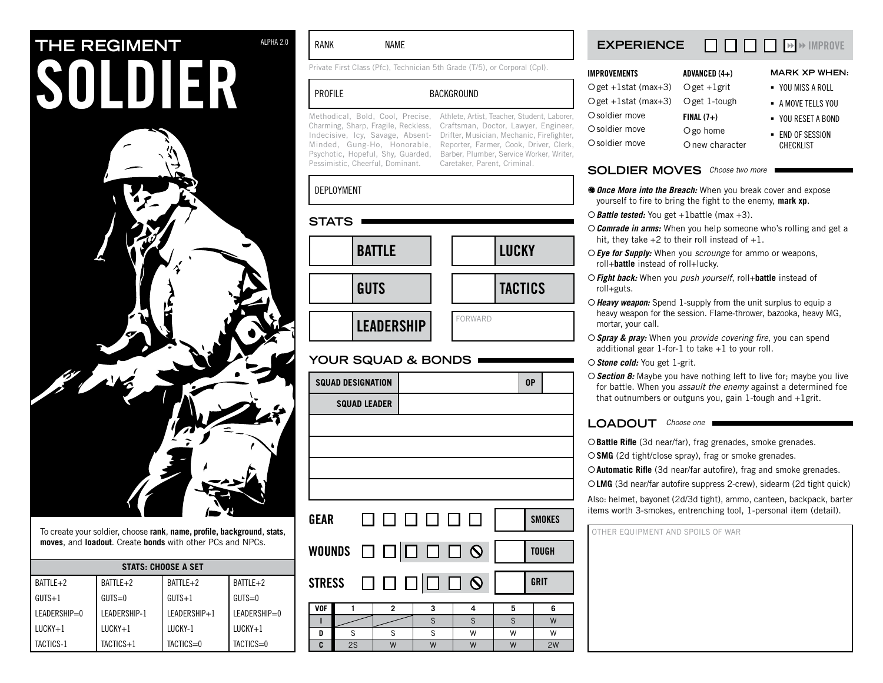# **THE REGIMENT** ALPHA 2.0 SOLDIER



To create your soldier, choose **rank**, **name, profile, background**, **stats**, **moves**, and **loadout**. Create **bonds** with other PCs and NPCs.

| <b>STATS: CHOOSE A SET</b> |              |              |                |  |
|----------------------------|--------------|--------------|----------------|--|
| BATTLE+2                   | BATTLE+2     | BATTLE+2     | $BATTIF+2$     |  |
| $GUTS+1$                   | $GUTS=0$     | $GUTS+1$     | $GUTS=0$       |  |
| $LEADERSHIP=0$             | LEADERSHIP-1 | LEADERSHIP+1 | LEADERSHIP=0   |  |
| $LUCKY+1$                  | $LUCKY+1$    | LUCKY-1      | $I\,$ IIICKY+1 |  |
| TACTICS-1                  | TACTICS+1    | TACTICS=0    | TACTICS=0      |  |

### RANK NAME

Private First Class (Pfc), Technician 5th Grade (T/5), or Corporal (Cpl).

### PROFILE BACKGROUND

Pessimistic, Cheerful, Dominant.

Methodical, Bold, Cool, Precise, Athlete, Artist, Teacher, Student, Laborer, Charming, Sharp, Fragile, Reckless, Craftsman, Doctor, Lawyer, Engineer, Indecisive, Icy, Savage, Absent-Drifter, Musician, Mechanic, Firefighter, Minded, Gung-Ho, Honorable, Reporter, Farmer, Cook, Driver, Clerk, Psychotic, Hopeful, Shy, Guarded, Barber, Plumber, Service Worker, Writer, Caretaker, Parent, Criminal.

### deployment

| <b>STATS</b>      |                |                |
|-------------------|----------------|----------------|
| <b>BATTLE</b>     |                | <b>LUCKY</b>   |
| <b>GUTS</b>       |                | <b>TACTICS</b> |
| <b>LEADERSHIP</b> | <b>FORWARD</b> |                |

# **your squad & bonds**

|            | <b>SQUAD DESIGNATION</b> |                                                   |   |   | 0P |               |
|------------|--------------------------|---------------------------------------------------|---|---|----|---------------|
|            | <b>SQUAD LEADER</b>      |                                                   |   |   |    |               |
|            |                          |                                                   |   |   |    |               |
|            |                          |                                                   |   |   |    |               |
|            |                          |                                                   |   |   |    |               |
|            |                          |                                                   |   |   |    |               |
|            |                          | GEAR O O O O O O                                  |   |   |    | <b>SMOKES</b> |
|            |                          | WOUNDS ロロロロロ9                                     |   |   |    | <b>TOUGH</b>  |
|            |                          | STRESS $\Box$ $\Box$ $\Box$ $\Box$ $\Box$ $\odot$ |   |   |    | <b>GRIT</b>   |
| <b>VOF</b> | 1                        | $\overline{c}$                                    | 3 | 4 | 5  | 6             |
| п          |                          |                                                   | S | S | S  | W             |
| D          | S                        | S                                                 | S | W | W  | W             |
| C          | 2S                       | W                                                 | W | W | W  | 2W            |

### **experience**  $\Box$  $\Box$  $\Box$  $\rightarrow$   $\rightarrow$  IMPROVE

| <b>IMPROVEMENTS</b>                  | ADVANCED $(4+)$ | <b>MARK XP WHEN:</b> |
|--------------------------------------|-----------------|----------------------|
| Oget +1stat (max+3) Oget +1grit      |                 | ■ YOU MISS A ROLL    |
| $Oget +1stat$ (max+3) $Oget 1-tough$ |                 | - A MOVE TELLS YOU   |
| O soldier move                       | $FINAL(7+)$     | • YOU RESET A BOND   |
| O soldier move                       | O go home       | - END OF SESSION     |
| O soldier move                       | O new character | <b>CHECKLIST</b>     |

### SOLDIER MOVES Choose two more

- **<sup>4</sup> Once More into the Breach:** When you break cover and expose yourself to fire to bring the fight to the enemy, **mark xp**.
- {*Battle tested:* You get +1battle (max +3).
- {*Comrade in arms:* When you help someone who's rolling and get a hit, they take  $+2$  to their roll instead of  $+1$ .
- {*Eye for Supply:* When you *scrounge* for ammo or weapons, roll+**battle** instead of roll+lucky.
- {*Fight back:* When you *push yourself*, roll+**battle** instead of roll+guts.
- {*Heavy weapon:* Spend 1-supply from the unit surplus to equip a heavy weapon for the session. Flame-thrower, bazooka, heavy MG, mortar, your call.
- {*Spray & pray:* When you *provide covering fire*, you can spend additional gear 1-for-1 to take +1 to your roll.
- {*Stone cold:* You get 1-grit.
- {*Section 8:* Maybe you have nothing left to live for; maybe you live for battle. When you *assault the enemy* against a determined foe that outnumbers or outguns you, gain 1-tough and +1grit.

### LOADOUT Choose one

{**Battle Rifle** (3d near/far), frag grenades, smoke grenades.

{**SMG** (2d tight/close spray), frag or smoke grenades.

{**Automatic Rifle** (3d near/far autofire), frag and smoke grenades.

{**LMG** (3d near/far autofire suppress 2-crew), sidearm (2d tight quick)

Also: helmet, bayonet (2d/3d tight), ammo, canteen, backpack, barter items worth 3-smokes, entrenching tool, 1-personal item (detail).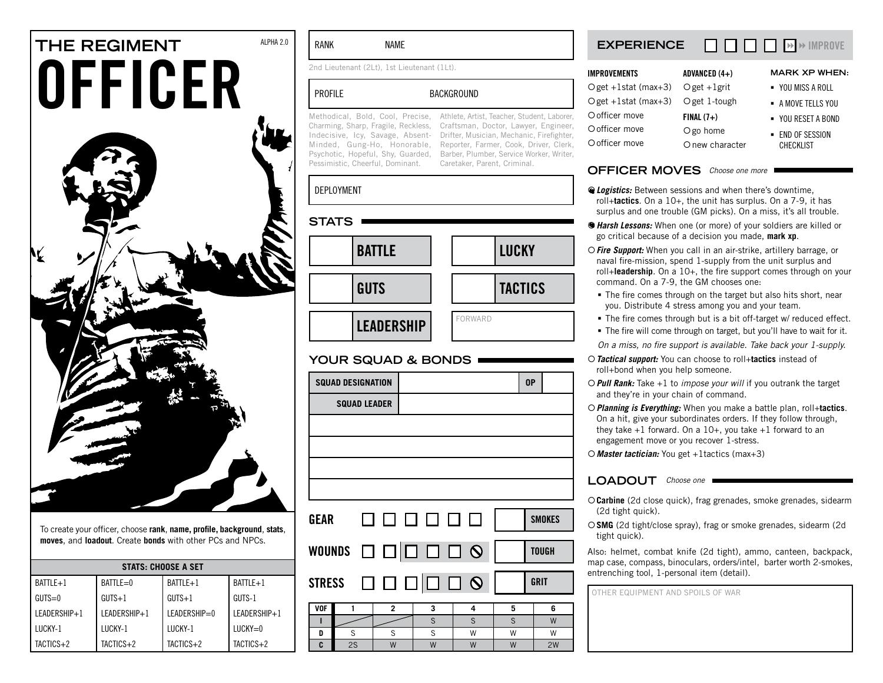# THE REGIMENT<br> **OFFICER**

To create your officer, choose **rank**, **name, profile, background**, **stats**, **moves**, and **loadout**. Create **bonds** with other PCs and NPCs.

| <b>STATS: CHOOSE A SET</b> |              |              |              |  |
|----------------------------|--------------|--------------|--------------|--|
| $BATILE + 1$               | BATTLE=0     | BATTLE+1     | BATTLE+1     |  |
| $GUTS=0$                   | $GUTS+1$     | $GUTS+1$     | GUTS-1       |  |
| LEADERSHIP+1               | LEADERSHIP+1 | LEADERSHIP=0 | LEADERSHIP+1 |  |
| LUCKY-1                    | LUCKY-1      | LUCKY-1      | $LUCKY=0$    |  |
| $TACTICS+2$                | TACTICS+2    | TACTICS+2    | TACTICS+2    |  |

### RANK NAME

2nd Lieutenant (2Lt), 1st Lieutenant (1Lt).

# PROFILE BACKGROUND

Pessimistic, Cheerful, Dominant. Caretaker, Parent, Criminal.

Methodical, Bold, Cool, Precise, Athlete, Artist, Teacher, Student, Laborer, Charming, Sharp, Fragile, Reckless, Craftsman, Doctor, Lawyer, Engineer, Indecisive, Icy, Savage, Absent-Drifter, Musician, Mechanic, Firefighter, Minded, Gung-Ho, Honorable, Reporter, Farmer, Cook, Driver, Clerk, Psychotic, Hopeful, Shy, Guarded, Barber, Plumber, Service Worker, Writer,

### deployment

**s** 

| TATS              |                |               |
|-------------------|----------------|---------------|
| <b>BATTLE</b>     |                | <b>LUCKY</b>  |
| <b>GUTS</b>       |                | <b>TACTIC</b> |
| <b>LEADERSHIP</b> | <b>FORWARD</b> |               |

### **your squad & bonds**

|               | <b>SQUAD DESIGNATION</b> |                |                                                                                  |        |        | 0P           |               |
|---------------|--------------------------|----------------|----------------------------------------------------------------------------------|--------|--------|--------------|---------------|
|               | <b>SQUAD LEADER</b>      |                |                                                                                  |        |        |              |               |
|               |                          |                |                                                                                  |        |        |              |               |
|               |                          |                |                                                                                  |        |        |              |               |
|               |                          |                |                                                                                  |        |        |              |               |
|               |                          |                |                                                                                  |        |        |              |               |
| GEAR          |                          |                | 000000                                                                           |        |        |              | <b>SMOKES</b> |
|               |                          |                |                                                                                  |        |        | <b>TOUGH</b> |               |
| <b>STRESS</b> |                          |                | $\begin{array}{c c} \square & \square & \square & \square & \square \end{array}$ |        |        | <b>GRIT</b>  |               |
| <b>VOF</b>    | 1                        | $\overline{2}$ | 3                                                                                | 4      | 5      |              | 6             |
| ı             |                          |                | S                                                                                | S      | S      |              | W             |
| D<br>C        | S<br>2S                  | S<br>W         | S<br>W                                                                           | W<br>W | W<br>W |              | W<br>2W       |
|               |                          |                |                                                                                  |        |        |              |               |

### **experience**  $\Box$  $\Box$  $\Box$  $\Box$  $\rightarrow$  IMPROVE

| IMPROVEMENTS                         | ADVANCED $(4+)$ | <b>MARK XP WHEN:</b> |
|--------------------------------------|-----------------|----------------------|
| Oget +1stat (max+3) Oget +1grit      |                 | ■ YOU MISS A ROLL    |
| $Oget +1stat$ (max+3) $Oget 1-tough$ |                 | - A MOVE TELLS YOU   |
| O officer move                       | $FINAL(7+)$     | • YOU RESET A BOND   |
| O officer move                       | O go home       | - END OF SESSION     |
| O officer move                       | O new character | <b>CHECKLIST</b>     |

### **OFFICER MOVES** Choose one more

- *A Logistics:* Between sessions and when there's downtime, roll+**tactics**. On a 10+, the unit has surplus. On a 7-9, it has surplus and one trouble (GM picks). On a miss, it's all trouble.
- {*Harsh Lessons:* When one (or more) of your soldiers are killed or go critical because of a decision you made, **mark xp**.
- {*Fire Support:* When you call in an air-strike, artillery barrage, or naval fire-mission, spend 1-supply from the unit surplus and roll+**leadership**. On a 10+, the fire support comes through on your command. On a 7-9, the GM chooses one:
	- The fire comes through on the target but also hits short, near you. Distribute 4 stress among you and your team.
	- The fire comes through but is a bit off-target w/ reduced effect.
	- The fire will come through on target, but you'll have to wait for it. *On a miss, no fire support is available. Take back your 1-supply.*
- {*Tactical support:* You can choose to roll+**tactics** instead of roll+bond when you help someone.
- {*Pull Rank:* Take +1 to *impose your will* if you outrank the target and they're in your chain of command.
- {*Planning is Everything:* When you make a battle plan, roll+**tactics**. On a hit, give your subordinates orders. If they follow through, they take  $+1$  forward. On a 10+, you take  $+1$  forward to an engagement move or you recover 1-stress.
- {*Master tactician:* You get +1tactics (max+3)

### LOADOUT Choose one

- {**Carbine** (2d close quick), frag grenades, smoke grenades, sidearm (2d tight quick).
- {**SMG** (2d tight/close spray), frag or smoke grenades, sidearm (2d tight quick).

Also: helmet, combat knife (2d tight), ammo, canteen, backpack, map case, compass, binoculars, orders/intel, barter worth 2-smokes, entrenching tool, 1-personal item (detail).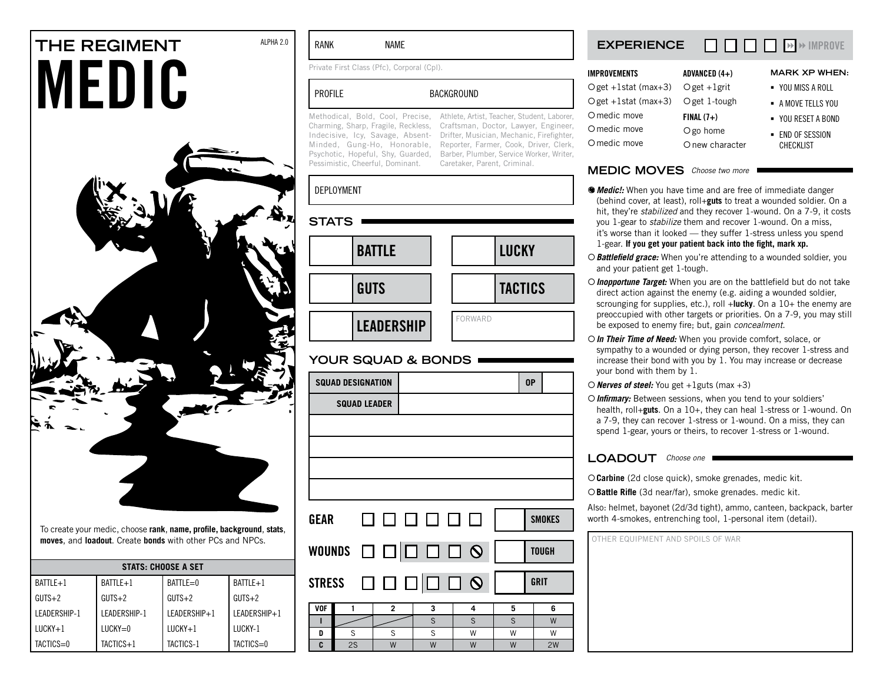# **THE REGIMENT** ALPHA 2.0 **MEDIC**



To create your medic, choose **rank**, **name, profile, background**, **stats**, **moves**, and **loadout**. Create **bonds** with other PCs and NPCs.

| <b>STATS: CHOOSE A SET</b> |              |              |              |  |
|----------------------------|--------------|--------------|--------------|--|
| $BATLE + 1$                | BATTLE+1     | $BATILE=0$   | BATTLE+1     |  |
| $GUTS+2$                   | $GUTS+2$     | $GUTS+2$     | $GUTS+2$     |  |
| LEADERSHIP-1               | LEADERSHIP-1 | LEADERSHIP+1 | LEADERSHIP+1 |  |
| $LUCKY+1$                  | $LUCKY=0$    | $LUCKY+1$    | LUCKY-1      |  |
| TACTICS=0                  | TACTICS+1    | TACTICS-1    | TACTICS=0    |  |

### RANK NAME

Private First Class (Pfc), Corporal (Cpl).

**GUTS** 

**squad leader**

**LEADERSHIP** 

**your squad & bonds**

| <b>PROFILE</b>                                                                                                                                                                                                      | <b>BACKGROUND</b>                                                                                                                                                                                                                                      |  |  |
|---------------------------------------------------------------------------------------------------------------------------------------------------------------------------------------------------------------------|--------------------------------------------------------------------------------------------------------------------------------------------------------------------------------------------------------------------------------------------------------|--|--|
| Methodical, Bold, Cool, Precise,<br>Charming, Sharp, Fragile, Reckless,<br>Indecisive, Icy, Savage, Absent-<br>Minded, Gung-Ho, Honorable,<br>Psychotic, Hopeful, Shy, Guarded,<br>Pessimistic, Cheerful, Dominant. | Athlete, Artist, Teacher, Student, Laborer,<br>Craftsman, Doctor, Lawyer, Engineer,<br>Drifter, Musician, Mechanic, Firefighter,<br>Reporter, Farmer, Cook, Driver, Clerk,<br>Barber, Plumber, Service Worker, Writer,<br>Caretaker, Parent, Criminal. |  |  |
| <b>DEPLOYMENT</b>                                                                                                                                                                                                   |                                                                                                                                                                                                                                                        |  |  |
| <b>STATS</b>                                                                                                                                                                                                        |                                                                                                                                                                                                                                                        |  |  |
|                                                                                                                                                                                                                     |                                                                                                                                                                                                                                                        |  |  |

tactics in the contract of the contract of the contract of the contract of the contract of the contract of the contract of the contract of the contract of the contract of the contract of the contract of the contract of the

**TACTICS** 

FORWARD

# aborer. zineer. ighter,



| Oget +1stat (max+3) Oget +1grit      |                 | • YOU MISS A ROLL |
|--------------------------------------|-----------------|-------------------|
|                                      |                 |                   |
| $Oget +1stat$ (max+3) $Oget 1-tough$ |                 | - A MOVE TELLS YO |
| O medic move                         | $FINAL (7+)$    | ■ YOU RESET A BOI |
| O medic move                         | O go home       | - END OF SESSION  |
| O medic move                         | O new character | <b>CHECKLIST</b>  |
|                                      |                 |                   |

### **MEDIC MOVES** Choose two more

- {*Medic!:* When you have time and are free of immediate danger (behind cover, at least), roll+**guts** to treat a wounded soldier. On a hit, they're *stabilized* and they recover 1-wound. On a 7-9, it costs you 1-gear to *stabilize* them and recover 1-wound. On a miss, it's worse than it looked — they suffer 1-stress unless you spend 1-gear. **If you get your patient back into the fight, mark xp.**
- {*Battlefield grace:* When you're attending to a wounded soldier, you and your patient get 1-tough.
- {*Inopportune Target:* When you are on the battlefield but do not take direct action against the enemy (e.g. aiding a wounded soldier, scrounging for supplies, etc.), roll +**lucky**. On a 10+ the enemy are preoccupied with other targets or priorities. On a 7-9, you may still be exposed to enemy fire; but, gain *concealment*.
- {*In Their Time of Need:* When you provide comfort, solace, or sympathy to a wounded or dying person, they recover 1-stress and increase their bond with you by 1. You may increase or decrease your bond with them by 1.
- {*Nerves of steel:* You get +1guts (max +3)
- {*Infirmary:* Between sessions, when you tend to your soldiers' health, roll+**guts**. On a 10+, they can heal 1-stress or 1-wound. On a 7-9, they can recover 1-stress or 1-wound. On a miss, they can spend 1-gear, yours or theirs, to recover 1-stress or 1-wound.

### LOADOUT Choose one

{**Carbine** (2d close quick), smoke grenades, medic kit.

{**Battle Rifle** (3d near/far), smoke grenades. medic kit.

Also: helmet, bayonet (2d/3d tight), ammo, canteen, backpack, barter worth 4-smokes, entrenching tool, 1-personal item (detail).

other equipment and spoils of war

| GEAR | 0000001                                                  | <b>SMOKE</b> |
|------|----------------------------------------------------------|--------------|
|      | WOUNDS $\Box$ $\Box$ $\Box$ $\Box$ $\Box$ $\Box$ $\odot$ | <b>TOUGH</b> |

**squad designation op**



**AISS A ROLL E TELLS YOU ESET A BOND** 

**XP WHEN:**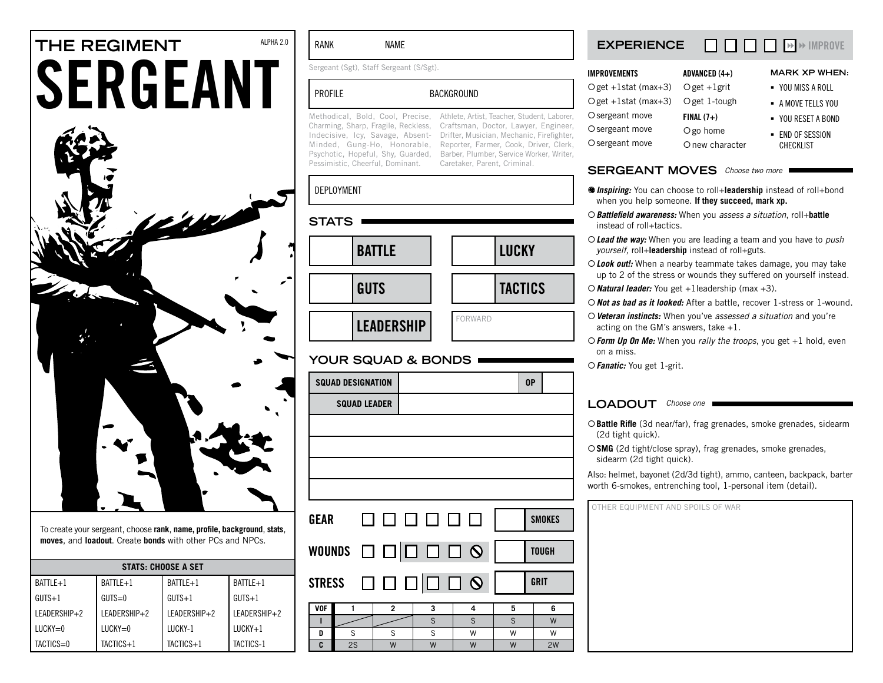# **THE REGIMENT** ALPHA 2.0 **SERGEANT**



To create your sergeant, choose **rank**, **name, profile, background**, **stats**, **moves**, and **loadout**. Create **bonds** with other PCs and NPCs.

| <b>STATS: CHOOSE A SET</b> |               |              |              |  |  |
|----------------------------|---------------|--------------|--------------|--|--|
| $BATILE + 1$               | BATTLE+1      | BATTLE+1     | BATTLE+1     |  |  |
| $GUTS+1$                   | $GUTS=0$      | $GUTS+1$     | $GUTS+1$     |  |  |
| LEADERSHIP+2               | I FADERSHIP+2 | LEADERSHIP+2 | LEADERSHIP+2 |  |  |
| $LUCKY=0$                  | $LUCKY=0$     | LUCKY-1      | $LUCKY+1$    |  |  |
| TACTICS=0                  | $TACTICS+1$   | $TACTICS+1$  | TACTICS-1    |  |  |

### RANK NAME

Sergeant (Sgt), Staff Sergeant (S/Sgt).

# PROFILE BACKGROUND

Pessimistic, Cheerful, Dominant. Caretaker, Parent, Criminal.

Methodical, Bold, Cool, Precise, Athlete, Artist, Teacher, Student, Laborer, Charming, Sharp, Fragile, Reckless, Craftsman, Doctor, Lawyer, Engineer, Indecisive, Icy, Savage, Absent-Drifter, Musician, Mechanic, Firefighter, Minded, Gung-Ho, Honorable, Reporter, Farmer, Cook, Driver, Clerk, Psychotic, Hopeful, Shy, Guarded, Barber, Plumber, Service Worker, Writer,

# deployment

| <b>STATS</b> |                   |         |                |
|--------------|-------------------|---------|----------------|
|              |                   |         |                |
|              | <b>BATTLE</b>     |         | <b>LUCKY</b>   |
|              |                   |         |                |
|              | <b>GUTS</b>       |         | <b>TACTICS</b> |
|              |                   |         |                |
|              | <b>LEADERSHIP</b> | FORWARD |                |

### **your squad & bonds**

|               | <b>SQUAD DESIGNATION</b> |                |   |   |   | 0P            |
|---------------|--------------------------|----------------|---|---|---|---------------|
|               | <b>SQUAD LEADER</b>      |                |   |   |   |               |
|               |                          |                |   |   |   |               |
|               |                          |                |   |   |   |               |
|               |                          |                |   |   |   |               |
|               |                          |                |   |   |   |               |
|               |                          |                |   |   |   |               |
| GEAR          |                          | 000000         |   |   |   | <b>SMOKES</b> |
|               |                          |                |   |   |   |               |
|               | WOUNDS <b>OOOOOOOO</b>   |                |   |   |   | <b>TOUGH</b>  |
|               |                          |                |   |   |   |               |
| <b>STRESS</b> |                          | 000000         |   |   |   | <b>GRIT</b>   |
|               |                          |                |   |   |   |               |
| <b>VOF</b>    | 1                        | $\overline{2}$ | 3 | 4 | 5 | 6             |
| п             |                          |                | S | S | S | W             |
| D             | S                        | S              | S | W | W | W             |
| C             | 2S                       | W              | W | W | W | 2W            |

### **experience**  $\Box$  $\Box$  $\Box$  $\Box$  $\rightarrow$  IMPROVE

| <b>IMPROVEMENTS</b>                  | ADVANCED (4+)     | <b>MARK XP WHEN:</b> |
|--------------------------------------|-------------------|----------------------|
| O get $+1$ stat (max $+3$ )          | $O$ get $+1$ grit | ■ YOU MISS A ROLL    |
| $Oget +1stat$ (max+3) $Oget 1-tough$ |                   | - A MOVE TELLS YOU   |
| O sergeant move                      | $FINAL(7+)$       | • YOU RESET A BOND   |
| O sergeant move                      | O go home         | - END OF SESSION     |
| O sergeant move                      | O new character   | <b>CHECKLIST</b>     |

### SERGEANT MOVES Choose two more

- {*Inspiring:* You can choose to roll+**leadership** instead of roll+bond when you help someone. **If they succeed, mark xp.**
- {*Battlefield awareness:* When you *assess a situation*, roll+**battle** instead of roll+tactics.
- {*Lead the way:* When you are leading a team and you have to *push yourself,* roll+**leadership** instead of roll+guts.
- {*Look out!:* When a nearby teammate takes damage, you may take up to 2 of the stress or wounds they suffered on yourself instead.
- {*Natural leader:* You get +1leadership (max +3).
- {*Not as bad as it looked:* After a battle, recover 1-stress or 1-wound.
- {*Veteran instincts:* When you've *assessed a situation* and you're acting on the GM's answers, take +1.
- {*Form Up On Me:* When you *rally the troops*, you get +1 hold, even on a miss.
- {*Fanatic:* You get 1-grit.

### LOADOUT Choose one

{**Battle Rifle** (3d near/far), frag grenades, smoke grenades, sidearm (2d tight quick).

{**SMG** (2d tight/close spray), frag grenades, smoke grenades, sidearm (2d tight quick).

Also: helmet, bayonet (2d/3d tight), ammo, canteen, backpack, barter worth 6-smokes, entrenching tool, 1-personal item (detail).

| OTHER EQUIPMENT AND SPOILS OF WAR |  |  |  |
|-----------------------------------|--|--|--|
|                                   |  |  |  |
|                                   |  |  |  |
|                                   |  |  |  |
|                                   |  |  |  |
|                                   |  |  |  |
|                                   |  |  |  |
|                                   |  |  |  |
|                                   |  |  |  |
|                                   |  |  |  |
|                                   |  |  |  |
|                                   |  |  |  |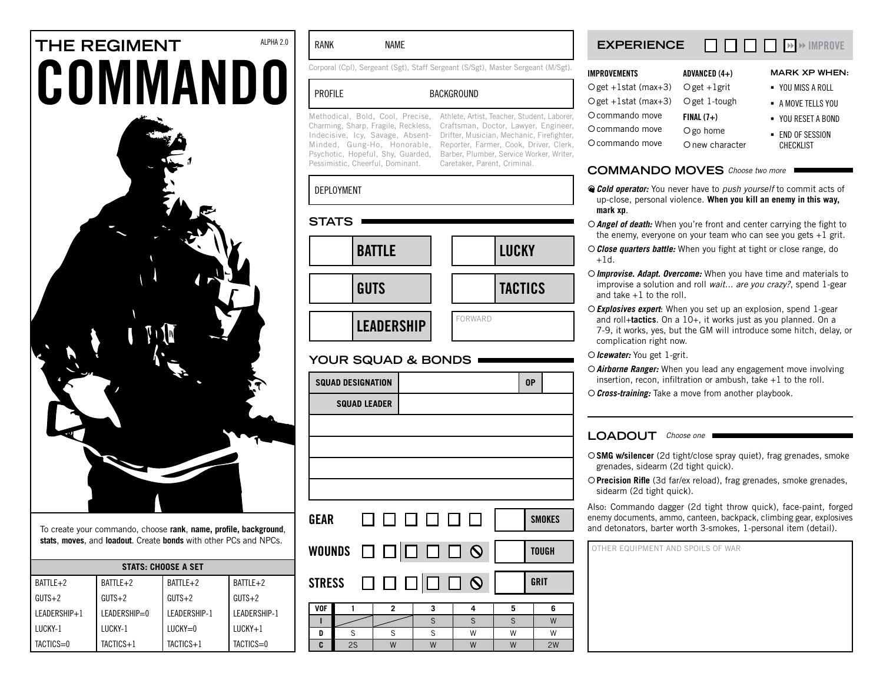# **THE REGIMENT** ALPHA 2.0 **COMMANDO**



To create your commando, choose **rank**, **name, profile, background**, **stats**, **moves**, and **loadout**. Create **bonds** with other PCs and NPCs.

| <b>STATS: CHOOSE A SET</b> |              |              |              |  |  |
|----------------------------|--------------|--------------|--------------|--|--|
| BATTLE+2                   | BATTLE+2     | BATTLE+2     | BATTLE+2     |  |  |
| $GUTS+2$                   | $GUTS+2$     | $GUTS+2$     | $GUTS+2$     |  |  |
| LEADERSHIP+1               | LEADERSHIP=0 | LEADERSHIP-1 | LEADERSHIP-1 |  |  |
| LUCKY-1                    | LUCKY-1      | $LUCKY=0$    | $LUCKY+1$    |  |  |
| TACTICS=0                  | TACTICS+1    | TACTICS+1    | TACTICS=0    |  |  |

### RANK NAME

Corporal (Cpl), Sergeant (Sgt), Staff Sergeant (S/Sgt), Master Sergeant (M/Sgt).

### PROFILE BACKGROUND

Pessimistic, Cheerful, Dominant.

Methodical, Bold, Cool, Precise, Athlete, Artist, Teacher, Student, Laborer, Charming, Sharp, Fragile, Reckless, Craftsman, Doctor, Lawyer, Engineer, Indecisive, Icy, Savage, Absent-Drifter, Musician, Mechanic, Firefighter, Minded, Gung-Ho, Honorable, Reporter, Farmer, Cook, Driver, Clerk, Psychotic, Hopeful, Shy, Guarded, Barber, Plumber, Service Worker, Writer, Caretaker, Parent, Criminal.

### deployment

| STATS |                   |                |                |
|-------|-------------------|----------------|----------------|
|       | <b>BATTLE</b>     |                | <b>LUCKY</b>   |
|       |                   |                |                |
|       | <b>GUTS</b>       |                | <b>TACTICS</b> |
|       |                   | <b>FORWARD</b> |                |
|       | <b>LEADERSHIP</b> |                |                |

### **your squad & bonds**

|            | <b>SQUAD DESIGNATION</b> |                                                   |   |   | 0P |               |
|------------|--------------------------|---------------------------------------------------|---|---|----|---------------|
|            | <b>SQUAD LEADER</b>      |                                                   |   |   |    |               |
|            |                          |                                                   |   |   |    |               |
|            |                          |                                                   |   |   |    |               |
|            |                          |                                                   |   |   |    |               |
|            |                          |                                                   |   |   |    |               |
| GEAR       |                          | 000000                                            |   |   |    | <b>SMOKES</b> |
|            |                          |                                                   |   |   |    |               |
|            |                          | WOUNDS ロロロロロ9                                     |   |   |    | <b>TOUGH</b>  |
|            |                          | STRESS $\Box$ $\Box$ $\Box$ $\Box$ $\Box$ $\odot$ |   |   |    | <b>GRIT</b>   |
| <b>VOF</b> | 1                        | $\overline{2}$                                    | 3 | 4 | 5  | 6             |
| T          |                          |                                                   | S | S | S  | W             |
| D          | S                        | S                                                 | S | W | W  | W             |
| C          | 2S                       | W                                                 | W | W | W  | 2W            |

### **experience**  $\Box$  $\Box$  $\Box$  $\Box$  $\rightarrow$  IMPROVE

| ADVANCED $(4+)$                      | <b>MARK XP WHEN:</b> |
|--------------------------------------|----------------------|
| Oget +1stat (max+3) Oget +1grit      | ■ YOU MISS A ROLL    |
| $Oget +1stat$ (max+3) $Oget 1-tough$ | - A MOVE TELLS YOU   |
| $FINAL (7+)$                         | • YOU RESET A BOND   |
| O go home                            | - END OF SESSION     |
| O new character                      | <b>CHECKLIST</b>     |
|                                      |                      |

### COMMANDO MOVES Choose two more

- {*Cold operator:* You never have to *push yourself* to commit acts of up-close, personal violence. **When you kill an enemy in this way, mark xp**.
- {*Angel of death:* When you're front and center carrying the fight to the enemy, everyone on your team who can see you gets  $+1$  grit.
- {*Close quarters battle:* When you fight at tight or close range, do  $+1d.$
- {*Improvise. Adapt. Overcome:* When you have time and materials to improvise a solution and roll *wait... are you crazy?*, spend 1-gear and take  $+1$  to the roll.
- {*Explosives expert*: When you set up an explosion, spend 1-gear and roll+**tactics**. On a 10+, it works just as you planned. On a 7-9, it works, yes, but the GM will introduce some hitch, delay, or complication right now.
- {*Icewater:* You get 1-grit.
- {*Airborne Ranger:* When you lead any engagement move involving insertion, recon, infiltration or ambush, take +1 to the roll.
- {*Cross-training:* Take a move from another playbook.

### LOADOUT Choose one

- {**SMG w/silencer** (2d tight/close spray quiet), frag grenades, smoke grenades, sidearm (2d tight quick).
- {**Precision Rifle** (3d far/ex reload), frag grenades, smoke grenades, sidearm (2d tight quick).

Also: Commando dagger (2d tight throw quick), face-paint, forged enemy documents, ammo, canteen, backpack, climbing gear, explosives and detonators, barter worth 3-smokes, 1-personal item (detail).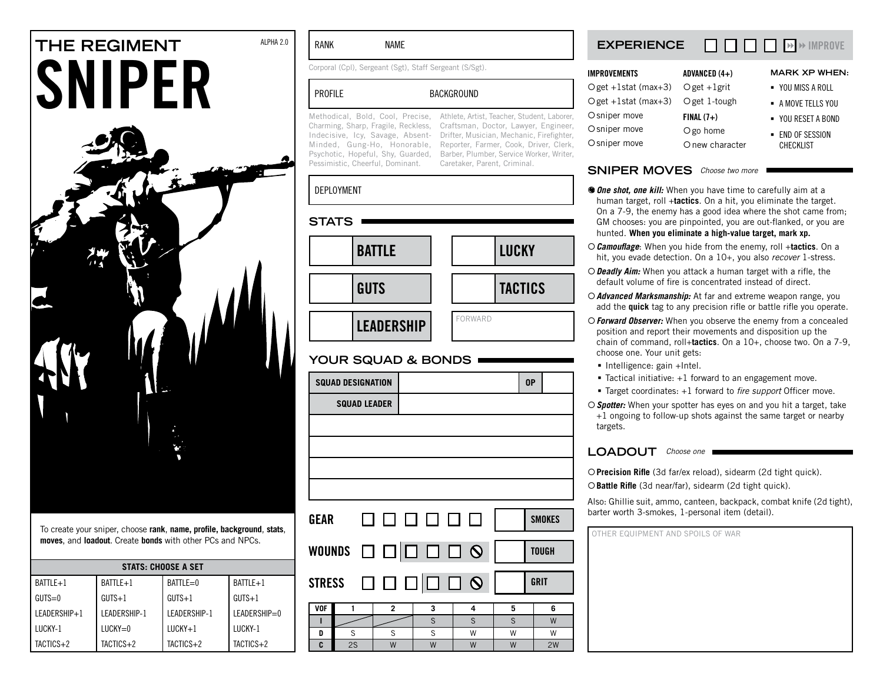# **THE REGIMENT** ALPHA 2.0 **SNIPER**



To create your sniper, choose **rank**, **name, profile, background**, **stats**, **moves**, and **loadout**. Create **bonds** with other PCs and NPCs.

| <b>STATS: CHOOSE A SET</b> |              |                     |              |  |  |
|----------------------------|--------------|---------------------|--------------|--|--|
| BATTLE+1                   | BATTLE+1     | $BATILE=0$          | $BATLE+1$    |  |  |
| $GUTS=0$                   | $GUTS+1$     | $GUTS+1$            | $GUTS+1$     |  |  |
| LEADERSHIP+1               | LEADERSHIP-1 | <b>IFADERSHIP-1</b> | LEADERSHIP=0 |  |  |
| <b>ILICKY-1</b>            | $LUCKY=0$    | $LUCKY+1$           | LUCKY-1      |  |  |
| TACTICS+2                  | TACTICS+2    | TACTICS+2           | TACTICS+2    |  |  |

### RANK NAME

Corporal (Cpl), Sergeant (Sgt), Staff Sergeant (S/Sgt).

# PROFILE BACKGROUND

Pessimistic, Cheerful, Dominant. Caretaker, Parent, Criminal.

Methodical, Bold, Cool, Precise, Athlete, Artist, Teacher, Student, Laborer, Charming, Sharp, Fragile, Reckless, Craftsman, Doctor, Lawyer, Engineer, Indecisive, Icy, Savage, Absent-Drifter, Musician, Mechanic, Firefighter, Minded, Gung-Ho, Honorable, Reporter, Farmer, Cook, Driver, Clerk, Psychotic, Hopeful, Shy, Guarded, Barber, Plumber, Service Worker, Writer,

### deployment

| <b>STATS</b>      |                |
|-------------------|----------------|
| <b>BATTLE</b>     | <b>LUCKY</b>   |
| <b>GUTS</b>       | <b>TACTICS</b> |
| <b>LEADERSHIP</b> | <b>FORWARD</b> |

# **your squad & bonds**

|               | <b>SQUAD DESIGNATION</b> |                      |   |   |   | 0P            |
|---------------|--------------------------|----------------------|---|---|---|---------------|
|               | <b>SQUAD LEADER</b>      |                      |   |   |   |               |
|               |                          |                      |   |   |   |               |
|               |                          |                      |   |   |   |               |
|               |                          |                      |   |   |   |               |
|               |                          |                      |   |   |   |               |
|               |                          |                      |   |   |   |               |
| GEAR          |                          | 000000               |   |   |   | <b>SMOKES</b> |
|               |                          |                      |   |   |   |               |
|               |                          | WOUNDS ロロロロロ O       |   |   |   | <b>TOUGH</b>  |
|               |                          |                      |   |   |   |               |
| <b>STRESS</b> |                          | $\Box$ $\Box$ $\Box$ |   |   |   | <b>GRIT</b>   |
|               |                          |                      |   |   |   |               |
| <b>VOF</b>    | 1                        | $\overline{2}$       | 3 | 4 | 5 | 6             |
| Т             |                          |                      | S | S | S | W             |
| D             | S                        | S                    | S | W | W | W             |
| C             | 2S                       | W                    | W | W | W | 2W            |

### **experience**  $\Box$  $\Box$  $\Box$  $\rightarrow$   $\rightarrow$  IMPROVE

| <b>IMPROVEMENTS</b>              | ADVANCED (4+)   | <b>MARK XP WHEN:</b> |
|----------------------------------|-----------------|----------------------|
| Oget +1stat (max+3) Oget +1grit  |                 | ■ YOU MISS A ROLL    |
| Oget +1stat (max+3) Oget 1-tough |                 | - A MOVE TELLS YOU   |
| O sniper move                    | $FINAL(7+)$     | • YOU RESET A BOND   |
| O sniper move                    | O go home       | - END OF SESSION     |
| O sniper move                    | O new character | <b>CHECKLIST</b>     |

### SNIPER MOVES Choose two more

- *One shot, one kill:* When you have time to carefully aim at a human target, roll +**tactics**. On a hit, you eliminate the target. On a 7-9, the enemy has a good idea where the shot came from; GM chooses: you are pinpointed, you are out-flanked, or you are hunted. **When you eliminate a high-value target, mark xp.**
- {*Camouflage*: When you hide from the enemy, roll +**tactics**. On a hit, you evade detection. On a 10+, you also *recover* 1-stress.
- {*Deadly Aim:* When you attack a human target with a rifle, the default volume of fire is concentrated instead of direct.
- {*Advanced Marksmanship:* At far and extreme weapon range, you add the **quick** tag to any precision rifle or battle rifle you operate.
- {*Forward Observer:* When you observe the enemy from a concealed position and report their movements and disposition up the chain of command, roll+**tactics**. On a 10+, choose two. On a 7-9, choose one. Your unit gets:
	- Intelligence: gain +Intel.
	- Tactical initiative: +1 forward to an engagement move.
	- Target coordinates: +1 forward to *fire support* Officer move.
- {*Spotter:* When your spotter has eyes on and you hit a target, take +1 ongoing to follow-up shots against the same target or nearby targets.

### LOADOUT Choose one

{**Precision Rifle** (3d far/ex reload), sidearm (2d tight quick).

{**Battle Rifle** (3d near/far), sidearm (2d tight quick).

Also: Ghillie suit, ammo, canteen, backpack, combat knife (2d tight), barter worth 3-smokes, 1-personal item (detail).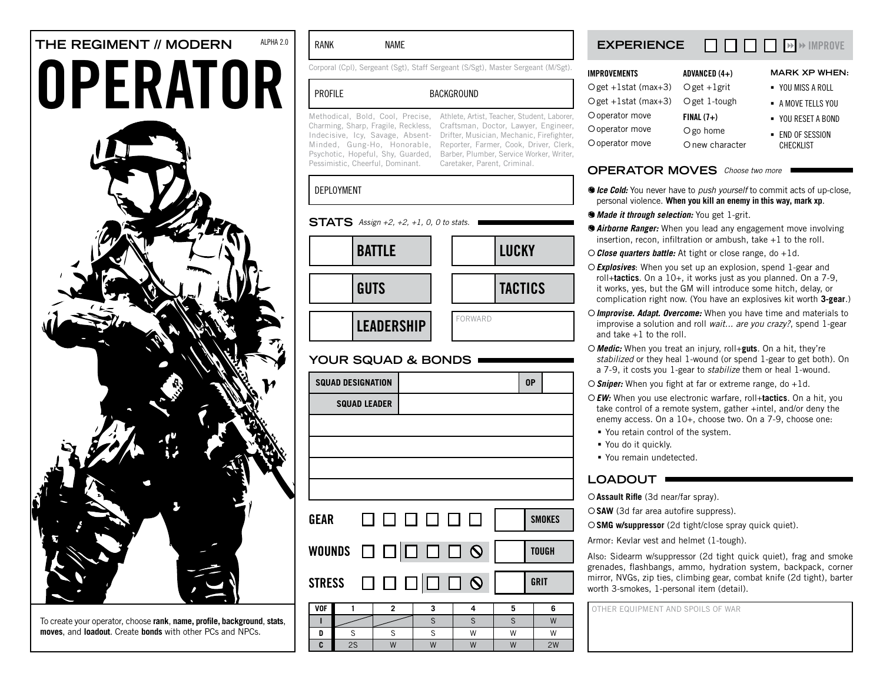# **THE REGIMENT // MODERN** ALPHA 2.0 OPERATOR



To create your operator, choose **rank**, **name, profile, background**, **stats**, **moves**, and **loadout**. Create **bonds** with other PCs and NPCs.

### RANK NAME

Corporal (Cpl), Sergeant (Sgt), Staff Sergeant (S/Sgt), Master Sergeant (M/Sgt).

### PROFILE BACKGROUND

Pessimistic, Cheerful, Dominant. Caretaker, Parent, Criminal.

Methodical, Bold, Cool, Precise, Athlete, Artist, Teacher, Student, Laborer, Charming, Sharp, Fragile, Reckless, Craftsman, Doctor, Lawyer, Engineer, Indecisive, Icy, Savage, Absent-Drifter, Musician, Mechanic, Firefighter, Minded, Gung-Ho, Honorable, Reporter, Farmer, Cook, Driver, Clerk, Psychotic, Hopeful, Shy, Guarded, Barber, Plumber, Service Worker, Writer,

### deployment

### **STATS** Assign +2, +2, +1, 0, 0 to stats.

| <b>BATTLE</b>     | <b>LUCKY</b>   |
|-------------------|----------------|
| <b>GUTS</b>       | <b>TACTICS</b> |
| <b>LEADERSHIP</b> | FORWARD        |

### **your squad & bonds**

| <b>SQUAD DESIGNATION</b>          |                                  |        | 0P            |
|-----------------------------------|----------------------------------|--------|---------------|
| <b>SQUAD LEADER</b>               |                                  |        |               |
|                                   |                                  |        |               |
|                                   |                                  |        |               |
|                                   |                                  |        |               |
|                                   |                                  |        |               |
| <b>GEAR</b>                       | 000000                           |        | <b>SMOKES</b> |
|                                   |                                  |        | <b>TOUGH</b>  |
| <b>STRESS</b>                     | $\Box$ \Box \Box \Box \Box \odot |        | GRIT          |
| <b>VOF</b><br>$\overline{2}$<br>1 | 3                                | 5<br>4 | 6             |

| /OF |    |     |                |                |                |
|-----|----|-----|----------------|----------------|----------------|
|     |    |     |                |                | $\overline{M}$ |
| D   |    |     | $\overline{M}$ | $\overline{M}$ | ١٨             |
| c   | ١٨ | 1.1 | $\overline{M}$ | <b>A</b>       | 2W             |

### **experience**  $\Box$  $\Box$  $\Box$  $\Box$  $\rightarrow$  IMPROVE

| ADVANCED (4+)                    | <b>MARK XP</b>  |
|----------------------------------|-----------------|
| Oget +1stat (max+3) Oget +1grit  | YOU MISS A      |
| Oget +1stat (max+3) Oget 1-tough | - A MOVE TELL   |
| $FINAL (7+)$                     | $-$ YOU RESET A |
| O go home                        | - END OF SESS   |
| O new character                  | CHECKLIST       |
|                                  |                 |

### **OPERATOR MOVES** Choose two more

- {*Ice Cold:* You never have to *push yourself* to commit acts of up-close, personal violence. **When you kill an enemy in this way, mark xp**.
- {*Made it through selection:* You get 1-grit.
- {*Airborne Ranger:* When you lead any engagement move involving insertion, recon, infiltration or ambush, take +1 to the roll.
- {*Close quarters battle:* At tight or close range, do +1d.
- {*Explosives*: When you set up an explosion, spend 1-gear and roll+**tactics**. On a 10+, it works just as you planned. On a 7-9, it works, yes, but the GM will introduce some hitch, delay, or complication right now. (You have an explosives kit worth **3-gear**.)
- {*Improvise. Adapt. Overcome:* When you have time and materials to improvise a solution and roll *wait... are you crazy?*, spend 1-gear and take +1 to the roll.
- {*Medic:* When you treat an injury, roll+**guts**. On a hit, they're *stabilized* or they heal 1-wound (or spend 1-gear to get both). On a 7-9, it costs you 1-gear to *stabilize* them or heal 1-wound.
- {*Sniper:* When you fight at far or extreme range, do +1d.
- {*EW:* When you use electronic warfare, roll+**tactics**. On a hit, you take control of a remote system, gather +intel, and/or deny the enemy access. On a 10+, choose two. On a 7-9, choose one:
- You retain control of the system.
- You do it quickly.
- You remain undetected.

# LOADOUT **·**

{**Assault Rifle** (3d near/far spray).

{**SAW** (3d far area autofire suppress).

{**SMG w/suppressor** (2d tight/close spray quick quiet).

Armor: Kevlar vest and helmet (1-tough).

Also: Sidearm w/suppressor (2d tight quick quiet), frag and smoke grenades, flashbangs, ammo, hydration system, backpack, corner mirror, NVGs, zip ties, climbing gear, combat knife (2d tight), barter worth 3-smokes, 1-personal item (detail).

- **WHEN:**
- ROLL
- s you
- A ROND
- sion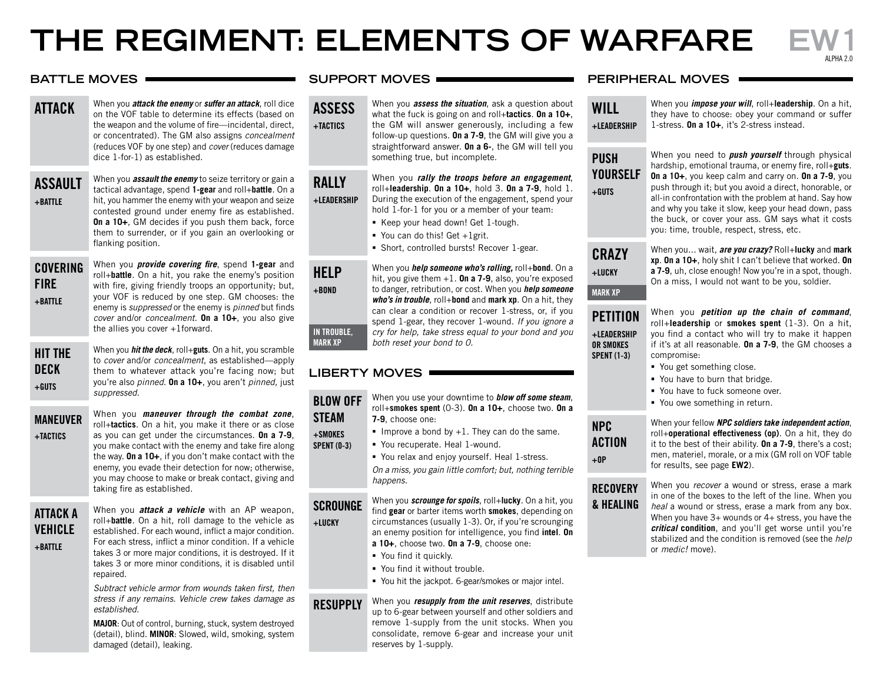# THE REGIMENT: ELEMENTS OF WARFARE

alpha 2.0

### **battle MOVES**  $\longrightarrow$

- attack When you *attack the enemy* or *suffer an attack*, roll dice on the VOF table to determine its effects (based on the weapon and the volume of fire—incidental, direct, or concentrated). The GM also assigns *concealment* (reduces VOF by one step) and *cover* (reduces damage dice 1-for-1) as established. assault When you *assault the enemy* to seize territory or gain a
- +battle tactical advantage, spend **1-gear** and roll+**battle**. On a hit, you hammer the enemy with your weapon and seize contested ground under enemy fire as established. **On a 10+**, GM decides if you push them back, force them to surrender, or if you gain an overlooking or flanking position.
- covering **FIRE** fire +BATTLF
- When you *provide covering fire*, spend **1-gear** and roll+**battle**. On a hit, you rake the enemy's position with fire, giving friendly troops an opportunity; but, your VOF is reduced by one step. GM chooses: the enemy is *suppressed* or the enemy is *pinned* but finds *cover* and/or *concealment*. **On a 10+**, you also give the allies you cover +1forward.

hit the **DECK**  $2TIIa +$ 

When you *hit the deck*, roll+**guts**. On a hit, you scramble to *cover* and/or *concealment*, as established—apply them to whatever attack you're facing now; but you're also *pinned*. **On a 10+**, you aren't *pinned,* just *suppressed*.

maneuver +tactics When you *maneuver through the combat zone*, roll+**tactics**. On a hit, you make it there or as close as you can get under the circumstances. **On a 7-9**, you make contact with the enemy and take fire along the way. **On a 10+**, if you don't make contact with the enemy, you evade their detection for now; otherwise, you may choose to make or break contact, giving and taking fire as established.

attack a vehicle  $+$ BATTLE

When you *attack a vehicle* with an AP weapon, roll+**battle**. On a hit, roll damage to the vehicle as established. For each wound, inflict a major condition. For each stress, inflict a minor condition. If a vehicle takes 3 or more major conditions, it is destroyed. If it takes 3 or more minor conditions, it is disabled until repaired.

*Subtract vehicle armor from wounds taken first, then stress if any remains. Vehicle crew takes damage as established.*

**MAJOR**: Out of control, burning, stuck, system destroyed (detail), blind. **MINOR**: Slowed, wild, smoking, system damaged (detail), leaking.

### **support moves**

**ASSESS**  $+$ TACTICS When you *assess the situation*, ask a question about what the fuck is going on and roll+**tactics**. **On a 10+**, the GM will answer generously, including a few follow-up questions. **On a 7-9**, the GM will give you a

straightforward answer. **On a 6-**, the GM will tell you something true, but incomplete.

When you *rally the troops before an engagement*, roll+**leadership**. **On a 10+**, hold 3. **On a 7-9**, hold 1. During the execution of the engagement, spend your hold 1-for-1 for you or a member of your team:

- Keep your head down! Get 1-tough.
- You can do this! Get +1grit.
- Short, controlled bursts! Recover 1-gear.

When you *help someone who's rolling,* roll+**bond**. On a hit, you give them +1. **On a 7-9**, also, you're exposed to danger, retribution, or cost. When you *help someone who's in trouble*, roll+**bond** and **mark xp**. On a hit, they can clear a condition or recover 1-stress, or, if you spend 1-gear, they recover 1-wound. *If you ignore a cry for help, take stress equal to your bond and you both reset your bond to 0.*

# **liberty moves**

blow off **STFAM** steam +smokes

**RALLY** +leadership

**HELP**  $+$ BOND

in trouble, mark xp

+lucky

When you use your downtime to *blow off some steam*, roll+**smokes spent** (0-3). **On a 10+**, choose two. **On a 7-9**, choose one:

- Improve a bond by  $+1$ . They can do the same.
- You recuperate. Heal 1-wound.
- You relax and enjoy yourself. Heal 1-stress.

*On a miss, you gain little comfort; but, nothing terrible happens.*

scrounge When you *scrounge for spoils*, roll+**lucky**. On a hit, you find **gear** or barter items worth **smokes**, depending on circumstances (usually 1-3). Or, if you're scrounging an enemy position for intelligence, you find **intel**. **On** 

- **a 10+**, choose two. **On a 7-9**, choose one:
- You find it quickly.
- You find it without trouble.
- You hit the jackpot. 6-gear/smokes or major intel.
- **RESUPPLY** When you *resupply from the unit reserves*, distribute up to 6-gear between yourself and other soldiers and remove 1-supply from the unit stocks. When you consolidate, remove 6-gear and increase your unit reserves by 1-supply.

### **peripheral moves**

**WILL** +leadership

When you *impose your will*, roll+**leadership**. On a hit, they have to choose: obey your command or suffer 1-stress. **On a 10+**, it's 2-stress instead.

| PUSH    |
|---------|
| YOURSEL |
| +GUTS   |

**CRAZY** +lucky

mark xp

+leadership or smokes spent (1-3)

**PETITION** 

action  $+0P$ 

**NPC ACTION** 

**RECOVERY** & healing

When you need to *push yourself* through physical hardship, emotional trauma, or enemy fire, roll+**guts**. **On a 10+**, you keep calm and carry on. **On a 7-9**, you push through it; but you avoid a direct, honorable, or all-in confrontation with the problem at hand. Say how and why you take it slow, keep your head down, pass the buck, or cover your ass. GM says what it costs you: time, trouble, respect, stress, etc.

When you... wait, *are you crazy?* Roll+**lucky** and **mark xp**. **On a 10+**, holy shit I can't believe that worked. **On a 7-9**, uh, close enough! Now you're in a spot, though. On a miss, I would not want to be you, soldier.

When you *petition up the chain of command*, roll+**leadership** or **smokes spent** (1-3). On a hit, you find a contact who will try to make it happen if it's at all reasonable. **On a 7-9**, the GM chooses a compromise:

- You get something close.
- You have to burn that bridge.
- You have to fuck someone over.
- You owe something in return.

When your fellow *NPC soldiers take independent action*, roll+**operational effectiveness (op)**. On a hit, they do it to the best of their ability. **On a 7-9**, there's a cost; men, materiel, morale, or a mix (GM roll on VOF table for results, see page **EW2**).

When you *recover* a wound or stress, erase a mark in one of the boxes to the left of the line. When you *heal* a wound or stress, erase a mark from any box. When you have 3+ wounds or 4+ stress, you have the *critical* **condition**, and you'll get worse until you're stabilized and the condition is removed (see the *help* or *medic!* move).

# spent (0-3)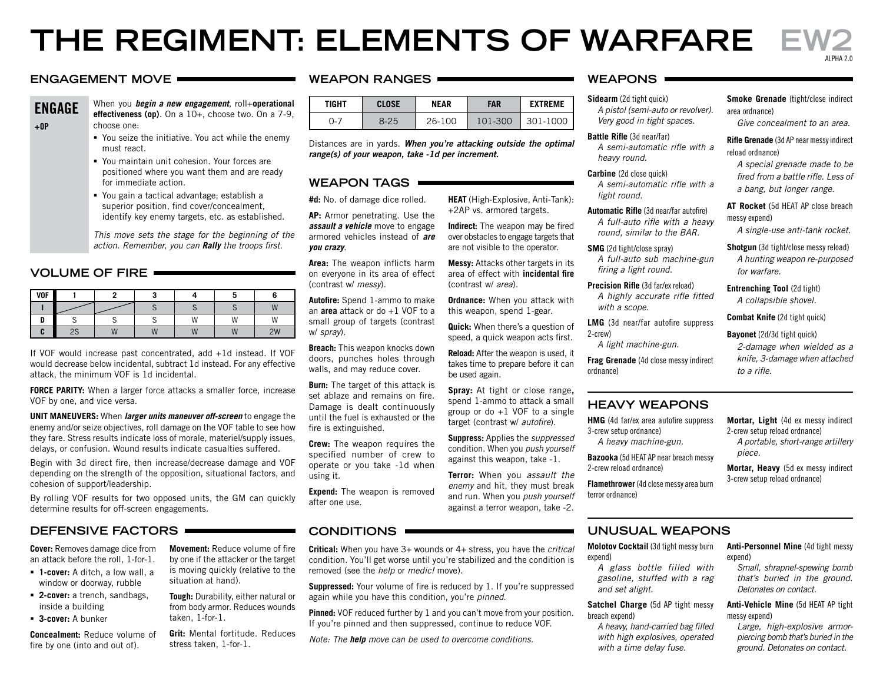# **the regiment: elements of warfare ew2**

### **weapon ranges weapons engagement move**

**FNGAGF**  $+0P$ 

When you *begin a new engagement*, roll+**operational effectiveness (op)**. On a 10+, choose two. On a 7-9, choose one:

- You seize the initiative. You act while the enemy must react.
- You maintain unit cohesion. Your forces are positioned where you want them and are ready for immediate action.
- You gain a tactical advantage; establish a superior position, find cover/concealment, identify key enemy targets, etc. as established.

*This move sets the stage for the beginning of the action. Remember, you can Rally the troops first.*

### **volume of fire**

| <b>VOF</b> |    |    |                |              |       |
|------------|----|----|----------------|--------------|-------|
|            |    |    |                |              | 181   |
|            |    |    | $\mathbf{M}$   | $\mathbf{M}$ | 1.4.4 |
|            | د∠ | 44 | $\overline{a}$ | $-1$         | 2W    |

If VOF would increase past concentrated, add +1d instead. If VOF would decrease below incidental, subtract 1d instead. For any effective attack, the minimum VOF is 1d incidental.

**FORCE PARITY:** When a larger force attacks a smaller force, increase VOF by one, and vice versa.

**unit maneuvers:** When *larger units maneuver off-screen* to engage the enemy and/or seize objectives, roll damage on the VOF table to see how they fare. Stress results indicate loss of morale, materiel/supply issues, delays, or confusion. Wound results indicate casualties suffered.

Begin with 3d direct fire, then increase/decrease damage and VOF depending on the strength of the opposition, situational factors, and cohesion of support/leadership.

By rolling VOF results for two opposed units, the GM can quickly determine results for off-screen engagements.

### **defensive factors conditions UNUSUAL WEAPONS**

**Cover:** Removes damage dice from an attack before the roll, 1-for-1.

- **1-cover:** A ditch, a low wall, a window or doorway, rubble
- **2-cover:** a trench, sandbags, inside a building
- **3-cover:** A bunker

**Concealment:** Reduce volume of fire by one (into and out of).

**Movement:** Reduce volume of fire by one if the attacker or the target is moving quickly (relative to the situation at hand).

**Tough:** Durability, either natural or from body armor. Reduces wounds taken, 1-for-1.

**Grit:** Mental fortitude. Reduces stress taken, 1-for-1.

| TIGHT | CLOSE | NEAR   | FAR     | <b>FXTRFMF</b> |
|-------|-------|--------|---------|----------------|
| בך:   | 8-25  | 26-100 | 101-300 | 301-1000       |

Distances are in yards. *When you're attacking outside the optimal range(s) of your weapon, take -1d per increment.*

### **weapon tags**

**#d:** No. of damage dice rolled.

**AP:** Armor penetrating. Use the *assault a vehicle* move to engage armored vehicles instead of *are you crazy*.

**Area:** The weapon inflicts harm on everyone in its area of effect (contrast w/ *messy*).

**Autofire:** Spend 1-ammo to make an **area** attack or do +1 VOF to a small group of targets (contrast w/ *spray*).

**Breach:** This weapon knocks down doors, punches holes through walls, and may reduce cover.

**Burn:** The target of this attack is set ablaze and remains on fire. Damage is dealt continuously until the fuel is exhausted or the fire is extinguished.

**Crew:** The weapon requires the specified number of crew to operate or you take -1d when using it.

**Expend:** The weapon is removed after one use.

**Critical:** When you have 3+ wounds or 4+ stress, you have the *critical* condition. You'll get worse until you're stabilized and the condition is removed (see the *help* or *medic!* move).

**Suppressed:** Your volume of fire is reduced by 1. If you're suppressed again while you have this condition, you're *pinned*.

**Pinned:** VOF reduced further by 1 and you can't move from your position. If you're pinned and then suppressed, continue to reduce VOF.

*Note: The help move can be used to overcome conditions.*

## **Sidearm** (2d tight quick)

*A pistol (semi-auto or revolver). Very good in tight spaces.*

**Battle Rifle** (3d near/far) *A semi-automatic rifle with a heavy round.*

**Carbine** (2d close quick) *A semi-automatic rifle with a light round.*

**Automatic Rifle** (3d near/far autofire) *A full-auto rifle with a heavy round, similar to the BAR.*

**SMG** (2d tight/close spray) *A full-auto sub machine-gun firing a light round.*

**Precision Rifle** (3d far/ex reload) *A highly accurate rifle fitted with a scope.*

**LMG** (3d near/far autofire suppress 2-crew)

*A light machine-gun.*

**Frag Grenade** (4d close messy indirect ordnance)

### **HEAVY WEAPONS**

**HMG** (4d far/ex area autofire suppress 3-crew setup ordnance)

*A heavy machine-gun.*

**Bazooka** (5d HEAT AP near breach messy 2-crew reload ordnance)

**Flamethrower** (4d close messy area burn terror ordnance)

expend)

*and set alight.*

breach expend)

*A heavy, hand-carried bag filled with high explosives, operated with a time delay fuse.*

**Smoke Grenade** (tight/close indirect area ordnance)

*Give concealment to an area.*

alpha 2.0

**Rifle Grenade** (3d AP near messy indirect reload ordnance)

*A special grenade made to be fired from a battle rifle. Less of a bang, but longer range.*

**AT Rocket** (5d HEAT AP close breach messy expend)

*A single-use anti-tank rocket.*

**Shotgun** (3d tight/close messy reload)

*A hunting weapon re-purposed for warfare.*

**Entrenching Tool** (2d tight) *A collapsible shovel.*

**Combat Knife** (2d tight quick)

### **Bayonet** (2d/3d tight quick)

*2-damage when wielded as a knife, 3-damage when attached to a rifle.*

**Mortar, Light** (4d ex messy indirect 2-crew setup reload ordnance) *A portable, short-range artillery piece.*

**Mortar, Heavy** (5d ex messy indirect 3-crew setup reload ordnance)

**Molotov Cocktail** (3d tight messy burn

*A glass bottle filled with gasoline, stuffed with a rag* 

**Satchel Charge** (5d AP tight messy

**Anti-Personnel Mine** (4d tight messy expend)

*Small, shrapnel-spewing bomb that's buried in the ground. Detonates on contact.*

**Anti-Vehicle Mine** (5d HEAT AP tight messy expend)

*Large, high-explosive armorpiercing bomb that's buried in the ground. Detonates on contact.*

### **Spray:** At tight or close range**,**  spend 1-ammo to attack a small group or do +1 VOF to a single target (contrast w/ *autofire*).

**Suppress:** Applies the *suppressed* condition. When you *push yourself* against this weapon, take -1.

**HEAT** (High-Explosive, Anti-Tank): +2AP vs. armored targets. **Indirect:** The weapon may be fired over obstacles to engage targets that are not visible to the operator. **Messy:** Attacks other targets in its area of effect with **incidental fire**

**Ordnance:** When you attack with this weapon, spend 1-gear. **Quick:** When there's a question of speed, a quick weapon acts first. **Reload:** After the weapon is used, it takes time to prepare before it can

(contrast w/ *area*).

be used again.

**Terror:** When you *assault the enemy* and hit, they must break and run. When you *push yourself* against a terror weapon, take -2.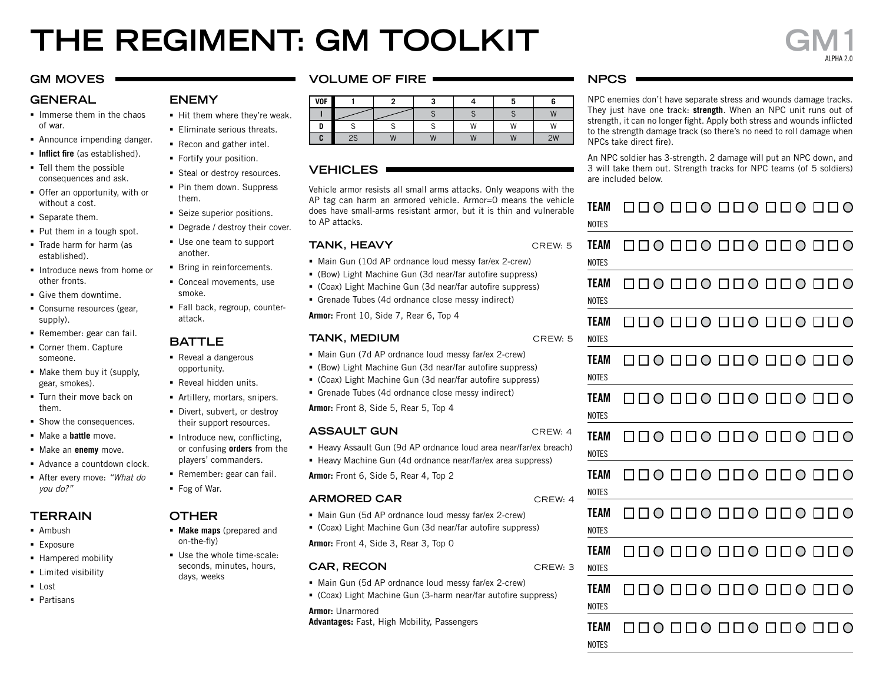# **the regiment: gm toolkit gm1**

### **gm moves**

### **general**

- **Immerse them in the chaos** of war.
- Announce impending danger.
- **Inflict fire** (as established).
- **Tell them the possible** consequences and ask.
- Offer an opportunity, with or without a cost.
- Separate them.
- Put them in a tough spot.
- Trade harm for harm (as established).
- **Introduce news from home or** other fronts.
- Give them downtime
- **Consume resources (gear,** supply).
- Remember: gear can fail.
- Corner them. Capture someone.
- Make them buy it (supply, gear, smokes).
- **Turn their move back on** them.
- **Show the consequences.**
- **Make a battle move.**
- Make an **enemy** move.
- Advance a countdown clock.
- After every move: *"What do you do?"*

# **terrain**

- **Ambush**
- **Exposure**
- **Hampered mobility**
- **Limited visibility**
- **Lost**
- Partisans

### **volume of fire**

| <b>VOF</b> |    |   |                |   |                      |                            |
|------------|----|---|----------------|---|----------------------|----------------------------|
|            |    |   |                |   |                      | $\overline{M}$             |
|            |    |   |                | W | W                    | $\mathbf{M}$<br><b>v</b> v |
| ι.         | 2S | W | $\overline{M}$ | W | $\overline{M}$<br>v۱ | 2W                         |

### **vehicles**

Vehicle armor resists all small arms attacks. Only weapons with the AP tag can harm an armored vehicle. Armor=0 means the vehicle does have small-arms resistant armor, but it is thin and vulnerable to AP attacks.

### **TANK, HEAVY** CREW: 5

- Main Gun (10d AP ordnance loud messy far/ex 2-crew)
- (Bow) Light Machine Gun (3d near/far autofire suppress)
- (Coax) Light Machine Gun (3d near/far autofire suppress)
- Grenade Tubes (4d ordnance close messy indirect)

**Armor:** Front 10, Side 7, Rear 6, Top 4

### **TANK, MEDIUM** CREW: 5

- Main Gun (7d AP ordnance loud messy far/ex 2-crew)
- (Bow) Light Machine Gun (3d near/far autofire suppress)
- (Coax) Light Machine Gun (3d near/far autofire suppress)
- Grenade Tubes (4d ordnance close messy indirect)

**Armor:** Front 8, Side 5, Rear 5, Top 4

### **ASSAULT GUN** CREW: 4

- Heavy Assault Gun (9d AP ordnance loud area near/far/ex breach)
- Heavy Machine Gun (4d ordnance near/far/ex area suppress)

**Armor:** Front 6, Side 5, Rear 4, Top 2

### **ARMORED CAR** CREW: 4

- Main Gun (5d AP ordnance loud messy far/ex 2-crew)
- (Coax) Light Machine Gun (3d near/far autofire suppress) **Armor:** Front 4, Side 3, Rear 3, Top 0

### **CAR, RECON** CREW: 3

- Main Gun (5d AP ordnance loud messy far/ex 2-crew)
- (Coax) Light Machine Gun (3-harm near/far autofire suppress)

**Armor:** Unarmored **Advantages:** Fast, High Mobility, Passengers

### **npcs**

NPC enemies don't have separate stress and wounds damage tracks. They just have one track: **strength**. When an NPC unit runs out of strength, it can no longer fight. Apply both stress and wounds inflicted to the strength damage track (so there's no need to roll damage when NPCs take direct fire).

An NPC soldier has 3-strength. 2 damage will put an NPC down, and 3 will take them out. Strength tracks for NPC teams (of 5 soldiers) are included below.

| TEAM<br><b>NOTES</b> |  |  |                             |
|----------------------|--|--|-----------------------------|
| TEAM<br><b>NOTES</b> |  |  |                             |
| TEAM<br><b>NOTES</b> |  |  |                             |
| TEAM<br><b>NOTES</b> |  |  |                             |
| TEAM                 |  |  | O D O O O D O D O D O O D O |

| TEAM  |
|-------|
| NOTES |

|       | TEAM 000 000 000 000 000 |  |  |
|-------|--------------------------|--|--|
| NOTES |                          |  |  |

TEAM 000000000000000 team **NOTES** 

| NOTES |  |
|-------|--|



 $\Box \Box \, 0 \, \Box \, \Box \, 0 \, \Box \, \Box \, 0 \, \Box \, \Box \, 0 \, \Box \, \Box \, 0$ TEAM team

**NOTES** 

team

team

- **TEAM**  $\Box$ **NOTES**
- $\Box \Box \bullet \Box \Box \bullet \Box \Box \bullet \Box \Box \bullet \Box \Box \bullet$ **TEAM NOTES**
- Divert, subvert, or destroy their support resources.
- **Introduce new, conflicting,** or confusing **orders** from the players' commanders.
- Remember: gear can fail.
- Fog of War.

**ENEMY**

them.

another.

smoke.

attack.

**battle** ■ Reveal a dangerous opportunity. **Reveal hidden units.** Artillery, mortars, snipers.

Hit them where they're weak. **Eliminate serious threats.** Recon and gather intel. Fortify your position. **Steal or destroy resources.** • Pin them down. Suppress

**Seize superior positions.** Degrade / destroy their cover. Use one team to support

**Bring in reinforcements.** Conceal movements, use

Fall back, regroup, counter-

### **Other**

- **Make maps** (prepared and on-the-fly)
- Use the whole time-scale: seconds, minutes, hours, days, weeks